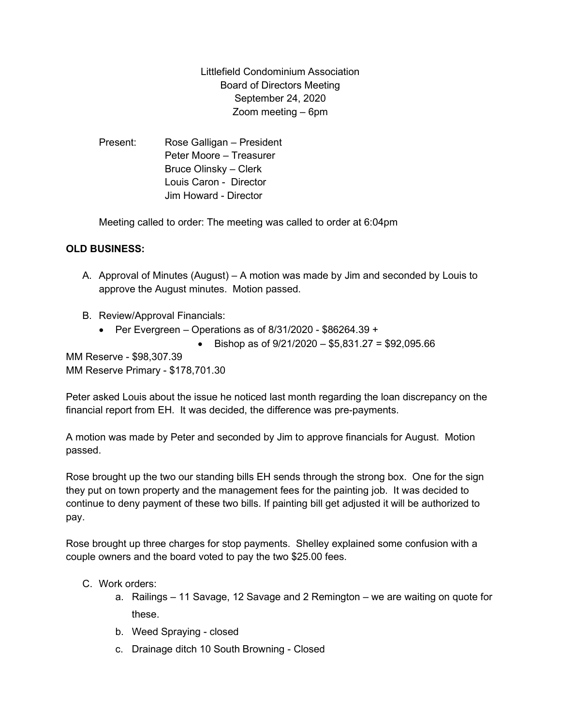Littlefield Condominium Association Board of Directors Meeting September 24, 2020 Zoom meeting – 6pm

Present: Rose Galligan – President Peter Moore – Treasurer Bruce Olinsky – Clerk Louis Caron - Director Jim Howard - Director

Meeting called to order: The meeting was called to order at 6:04pm

## OLD BUSINESS:

- A. Approval of Minutes (August) A motion was made by Jim and seconded by Louis to approve the August minutes. Motion passed.
- B. Review/Approval Financials:
	- Per Evergreen Operations as of  $8/31/2020$  \$86264.39 +
		- Bishop as of  $9/21/2020 $5,831.27 = $92,095.66$

MM Reserve - \$98,307.39 MM Reserve Primary - \$178,701.30

Peter asked Louis about the issue he noticed last month regarding the loan discrepancy on the financial report from EH. It was decided, the difference was pre-payments.

A motion was made by Peter and seconded by Jim to approve financials for August. Motion passed.

Rose brought up the two our standing bills EH sends through the strong box. One for the sign they put on town property and the management fees for the painting job. It was decided to continue to deny payment of these two bills. If painting bill get adjusted it will be authorized to pay.

Rose brought up three charges for stop payments. Shelley explained some confusion with a couple owners and the board voted to pay the two \$25.00 fees.

- C. Work orders:
	- a. Railings 11 Savage, 12 Savage and 2 Remington we are waiting on quote for these.
	- b. Weed Spraying closed
	- c. Drainage ditch 10 South Browning Closed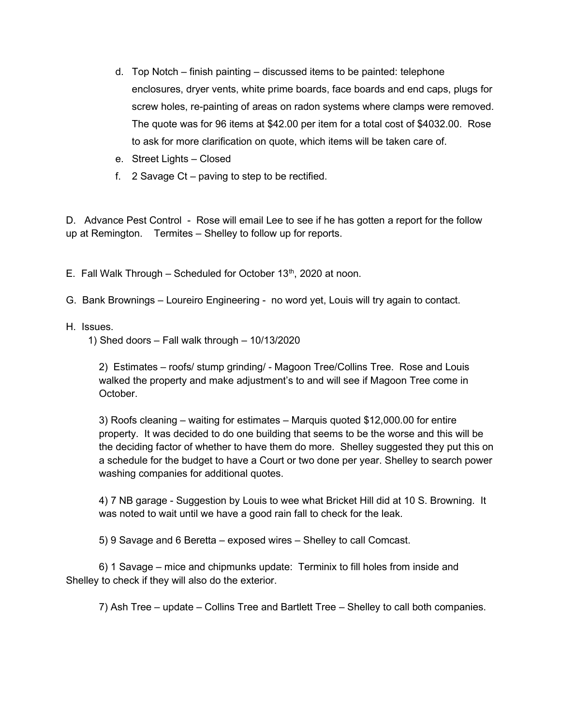- d. Top Notch finish painting discussed items to be painted: telephone enclosures, dryer vents, white prime boards, face boards and end caps, plugs for screw holes, re-painting of areas on radon systems where clamps were removed. The quote was for 96 items at \$42.00 per item for a total cost of \$4032.00. Rose to ask for more clarification on quote, which items will be taken care of.
- e. Street Lights Closed
- f. 2 Savage Ct paving to step to be rectified.

D. Advance Pest Control - Rose will email Lee to see if he has gotten a report for the follow up at Remington. Termites – Shelley to follow up for reports.

E. Fall Walk Through – Scheduled for October  $13<sup>th</sup>$ , 2020 at noon.

- G. Bank Brownings Loureiro Engineering no word yet, Louis will try again to contact.
- H. Issues.

1) Shed doors – Fall walk through – 10/13/2020

2) Estimates – roofs/ stump grinding/ - Magoon Tree/Collins Tree. Rose and Louis walked the property and make adjustment's to and will see if Magoon Tree come in October.

3) Roofs cleaning – waiting for estimates – Marquis quoted \$12,000.00 for entire property. It was decided to do one building that seems to be the worse and this will be the deciding factor of whether to have them do more. Shelley suggested they put this on a schedule for the budget to have a Court or two done per year. Shelley to search power washing companies for additional quotes.

4) 7 NB garage - Suggestion by Louis to wee what Bricket Hill did at 10 S. Browning. It was noted to wait until we have a good rain fall to check for the leak.

5) 9 Savage and 6 Beretta – exposed wires – Shelley to call Comcast.

 6) 1 Savage – mice and chipmunks update: Terminix to fill holes from inside and Shelley to check if they will also do the exterior.

7) Ash Tree – update – Collins Tree and Bartlett Tree – Shelley to call both companies.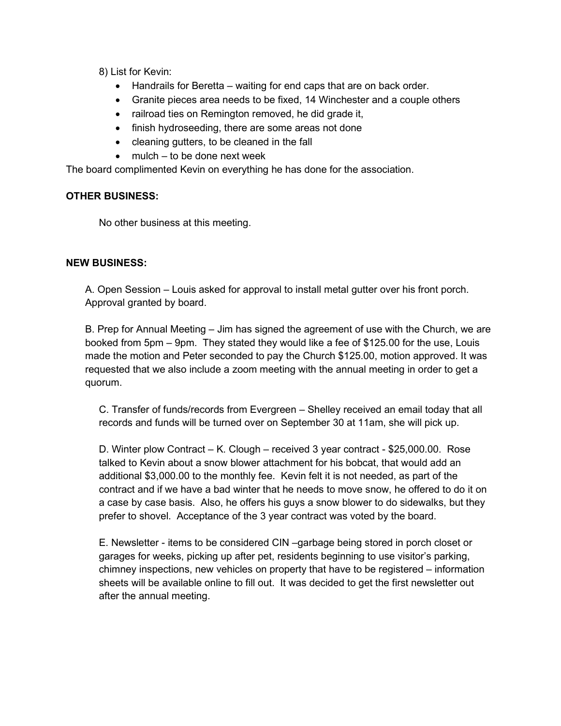8) List for Kevin:

- Handrails for Beretta waiting for end caps that are on back order.
- Granite pieces area needs to be fixed, 14 Winchester and a couple others
- railroad ties on Remington removed, he did grade it,
- finish hydroseeding, there are some areas not done
- cleaning gutters, to be cleaned in the fall
- mulch to be done next week

The board complimented Kevin on everything he has done for the association.

## OTHER BUSINESS:

No other business at this meeting.

## NEW BUSINESS:

A. Open Session – Louis asked for approval to install metal gutter over his front porch. Approval granted by board.

B. Prep for Annual Meeting – Jim has signed the agreement of use with the Church, we are booked from 5pm – 9pm. They stated they would like a fee of \$125.00 for the use, Louis made the motion and Peter seconded to pay the Church \$125.00, motion approved. It was requested that we also include a zoom meeting with the annual meeting in order to get a quorum.

C. Transfer of funds/records from Evergreen – Shelley received an email today that all records and funds will be turned over on September 30 at 11am, she will pick up.

D. Winter plow Contract – K. Clough – received 3 year contract - \$25,000.00. Rose talked to Kevin about a snow blower attachment for his bobcat, that would add an additional \$3,000.00 to the monthly fee. Kevin felt it is not needed, as part of the contract and if we have a bad winter that he needs to move snow, he offered to do it on a case by case basis. Also, he offers his guys a snow blower to do sidewalks, but they prefer to shovel. Acceptance of the 3 year contract was voted by the board.

E. Newsletter - items to be considered CIN –garbage being stored in porch closet or garages for weeks, picking up after pet, residents beginning to use visitor's parking, chimney inspections, new vehicles on property that have to be registered – information sheets will be available online to fill out. It was decided to get the first newsletter out after the annual meeting.